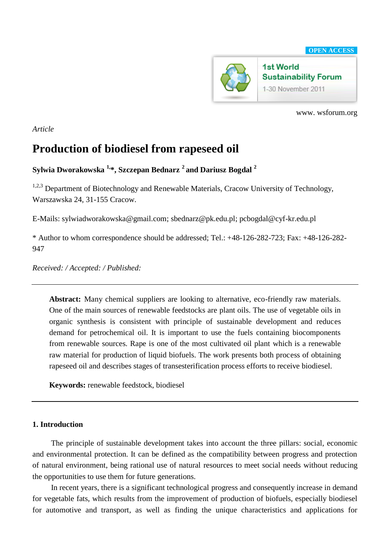

www. wsforum.org

*Article*

# **Production of biodiesel from rapeseed oil**

## **Sylwia Dworakowska 1,\*, Szczepan Bednarz <sup>2</sup>and Dariusz Bogdal <sup>2</sup>**

<sup>1,2,3</sup> Department of Biotechnology and Renewable Materials, Cracow University of Technology, Warszawska 24, 31-155 Cracow.

E-Mails: sylwiadworakowska@gmail.com; sbednarz@pk.edu.pl; pcbogdal@cyf-kr.edu.pl

\* Author to whom correspondence should be addressed; Tel.: +48-126-282-723; Fax: +48-126-282- 947

*Received: / Accepted: / Published:* 

**Abstract:** Many chemical suppliers are looking to alternative, eco-friendly raw materials. One of the main sources of renewable feedstocks are plant oils. The use of vegetable oils in organic synthesis is consistent with principle of sustainable development and reduces demand for petrochemical oil. It is important to use the fuels containing biocomponents from renewable sources. Rape is one of the most cultivated oil plant which is a renewable raw material for production of liquid biofuels. The work presents both process of obtaining rapeseed oil and describes stages of transesterification process efforts to receive biodiesel.

**Keywords:** renewable feedstock, biodiesel

### **1. Introduction**

The principle of sustainable development takes into account the three pillars: social, economic and environmental protection. It can be defined as the compatibility between progress and protection of natural environment, being rational use of natural resources to meet social needs without reducing the opportunities to use them for future generations.

In recent years, there is a significant technological progress and consequently increase in demand for vegetable fats, which results from the improvement of production of biofuels, especially biodiesel for automotive and transport, as well as finding the unique characteristics and applications for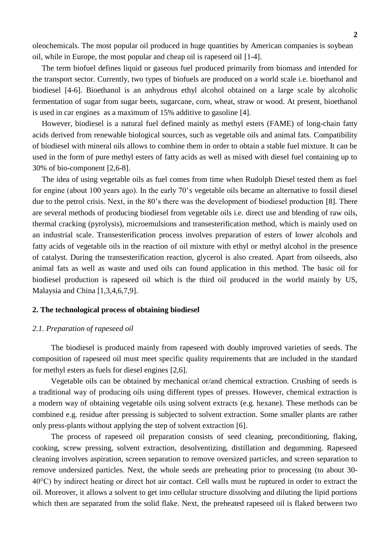oleochemicals. The most popular oil produced in huge quantities by American companies is soybean oil, while in Europe, the most popular and cheap oil is rapeseed oil [1-4].

The term biofuel defines liquid or gaseous fuel produced primarily from biomass and intended for the transport sector. Currently, two types of biofuels are produced on a world scale i.e. bioethanol and biodiesel [4-6]. Bioethanol is an anhydrous ethyl alcohol obtained on a large scale by alcoholic fermentation of sugar from sugar beets, sugarcane, corn, wheat, straw or wood. At present, bioethanol is used in car engines as a maximum of 15% additive to gasoline [4].

However, biodiesel is a natural fuel defined mainly as methyl esters (FAME) of long-chain fatty acids derived from renewable biological sources, such as vegetable oils and animal fats. Compatibility of biodiesel with mineral oils allows to combine them in order to obtain a stable fuel mixture. It can be used in the form of pure methyl esters of fatty acids as well as mixed with diesel fuel containing up to 30% of bio-component [2,6-8].

The idea of using vegetable oils as fuel comes from time when Rudolph Diesel tested them as fuel for engine (about 100 years ago). In the early 70's vegetable oils became an alternative to fossil diesel due to the petrol crisis. Next, in the 80's there was the development of biodiesel production [8]. There are several methods of producing biodiesel from vegetable oils i.e. direct use and blending of raw oils, thermal cracking (pyrolysis), microemulsions and transesterification method, which is mainly used on an industrial scale. Transesterification process involves preparation of esters of lower alcohols and fatty acids of vegetable oils in the reaction of oil mixture with ethyl or methyl alcohol in the presence of catalyst. During the transesterification reaction, glycerol is also created. Apart from oilseeds, also animal fats as well as waste and used oils can found application in this method. The basic oil for biodiesel production is rapeseed oil which is the third oil produced in the world mainly by US, Malaysia and China [1,3,4,6,7,9].

#### **2. The technological process of obtaining biodiesel**

#### *2.1. Preparation of rapeseed oil*

The biodiesel is produced mainly from rapeseed with doubly improved varieties of seeds. The composition of rapeseed oil must meet specific quality requirements that are included in the standard for methyl esters as fuels for diesel engines [2,6].

Vegetable oils can be obtained by mechanical or/and chemical extraction. Crushing of seeds is a traditional way of producing oils using different types of presses. However, chemical extraction is a modern way of obtaining vegetable oils using solvent extracts (e.g. hexane). These methods can be combined e.g. residue after pressing is subjected to solvent extraction. Some smaller plants are rather only press-plants without applying the step of solvent extraction [6].

The process of rapeseed oil preparation consists of seed cleaning, preconditioning, flaking, cooking, screw pressing, solvent extraction, desolventizing, distillation and degumming. Rapeseed cleaning involves aspiration, screen separation to remove oversized particles, and screen separation to remove undersized particles. Next, the whole seeds are preheating prior to processing (to about 30- 40°C) by indirect heating or direct hot air contact. Cell walls must be ruptured in order to extract the oil. Moreover, it allows a solvent to get into cellular structure dissolving and diluting the lipid portions which then are separated from the solid flake. Next, the preheated rapeseed oil is flaked between two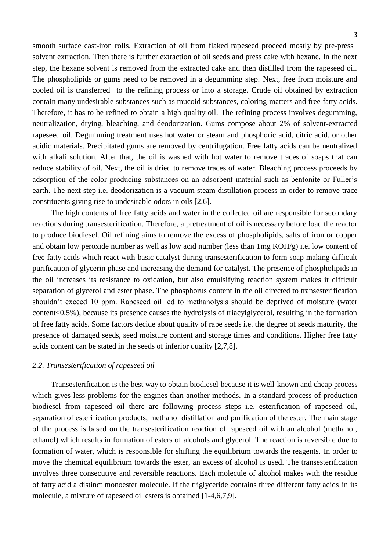smooth surface cast-iron rolls. Extraction of oil from flaked rapeseed proceed mostly by pre-press solvent extraction. Then there is further extraction of oil seeds and press cake with hexane. In the next step, the hexane solvent is removed from the extracted cake and then distilled from the rapeseed oil. The phospholipids or gums need to be removed in a degumming step. Next, free from moisture and cooled oil is transferred to the refining process or into a storage. Crude oil obtained by extraction contain many undesirable substances such as mucoid substances, coloring matters and free fatty acids. Therefore, it has to be refined to obtain a high quality oil. The refining process involves degumming, neutralization, drying, bleaching, and deodorization. Gums compose about 2% of solvent-extracted rapeseed oil. Degumming treatment uses hot water or steam and phosphoric acid, citric acid, or other acidic materials. Precipitated gums are removed by centrifugation. Free fatty acids can be neutralized with alkali solution. After that, the oil is washed with hot water to remove traces of soaps that can reduce stability of oil. Next, the oil is dried to remove traces of water. Bleaching process proceeds by adsorption of the color producing substances on an adsorbent material such as bentonite or Fuller's earth. The next step i.e. deodorization is a vacuum steam distillation process in order to remove trace constituents giving rise to undesirable odors in oils [2,6].

The high contents of free fatty acids and water in the collected oil are responsible for secondary reactions during transesterification. Therefore, a pretreatment of oil is necessary before load the reactor to produce biodiesel. Oil refining aims to remove the excess of phospholipids, salts of iron or copper and obtain low peroxide number as well as low acid number (less than 1mg KOH/g) i.e. low content of free fatty acids which react with basic catalyst during transesterification to form soap making difficult purification of glycerin phase and increasing the demand for catalyst. The presence of phospholipids in the oil increases its resistance to oxidation, but also emulsifying reaction system makes it difficult separation of glycerol and ester phase. The phosphorus content in the oil directed to transesterification shouldn't exceed 10 ppm. Rapeseed oil led to methanolysis should be deprived of moisture (water content<0.5%), because its presence causes the hydrolysis of triacylglycerol, resulting in the formation of free fatty acids. Some factors decide about quality of rape seeds i.e. the degree of seeds maturity, the presence of damaged seeds, seed moisture content and storage times and conditions. Higher free fatty acids content can be stated in the seeds of inferior quality [2,7,8].

#### *2.2. Transesterification of rapeseed oil*

Transesterification is the best way to obtain biodiesel because it is well-known and cheap process which gives less problems for the engines than another methods. In a standard process of production biodiesel from rapeseed oil there are following process steps i.e. esterification of rapeseed oil, separation of esterification products, methanol distillation and purification of the ester. The main stage of the process is based on the transesterification reaction of rapeseed oil with an alcohol (methanol, ethanol) which results in formation of esters of alcohols and glycerol. The reaction is reversible due to formation of water, which is responsible for shifting the equilibrium towards the reagents. In order to move the chemical equilibrium towards the ester, an excess of alcohol is used. The transesterification involves three consecutive and reversible reactions. Each molecule of alcohol makes with the residue of fatty acid a distinct monoester molecule. If the triglyceride contains three different fatty acids in its molecule, a mixture of rapeseed oil esters is obtained [1-4,6,7,9].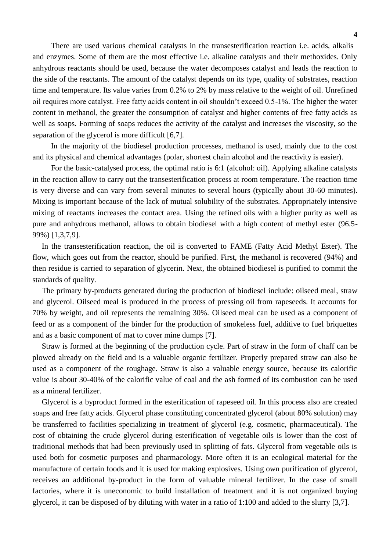There are used various chemical catalysts in the transesterification reaction i.e. acids, alkalis and enzymes. Some of them are the most effective i.e. alkaline catalysts and their methoxides. Only anhydrous reactants should be used, because the water decomposes catalyst and leads the reaction to the side of the reactants. The amount of the catalyst depends on its type, quality of substrates, reaction time and temperature. Its value varies from 0.2% to 2% by mass relative to the weight of oil. Unrefined oil requires more catalyst. Free fatty acids content in oil shouldn't exceed 0.5-1%. The higher the water content in methanol, the greater the consumption of catalyst and higher contents of free fatty acids as well as soaps. Forming of soaps reduces the activity of the catalyst and increases the viscosity, so the separation of the glycerol is more difficult [6,7].

In the majority of the biodiesel production processes, methanol is used, mainly due to the cost and its physical and chemical advantages (polar, shortest chain alcohol and the reactivity is easier).

For the basic-catalysed process, the optimal ratio is 6:1 (alcohol: oil). Applying alkaline catalysts in the reaction allow to carry out the transesterification process at room temperature. The reaction time is very diverse and can vary from several minutes to several hours (typically about 30-60 minutes). Mixing is important because of the lack of mutual solubility of the substrates. Appropriately intensive mixing of reactants increases the contact area. Using the refined oils with a higher purity as well as pure and anhydrous methanol, allows to obtain biodiesel with a high content of methyl ester (96.5- 99%) [1,3,7,9].

In the transesterification reaction, the oil is converted to FAME (Fatty Acid Methyl Ester). The flow, which goes out from the reactor, should be purified. First, the methanol is recovered (94%) and then residue is carried to separation of glycerin. Next, the obtained biodiesel is purified to commit the standards of quality.

The primary by-products generated during the production of biodiesel include: oilseed meal, straw and glycerol. Oilseed meal is produced in the process of pressing oil from rapeseeds. It accounts for 70% by weight, and oil represents the remaining 30%. Oilseed meal can be used as a component of feed or as a component of the binder for the production of smokeless fuel, additive to fuel briquettes and as a basic component of mat to cover mine dumps [7].

Straw is formed at the beginning of the production cycle. Part of straw in the form of chaff can be plowed already on the field and is a valuable organic fertilizer. Properly prepared straw can also be used as a component of the roughage. Straw is also a valuable energy source, because its calorific value is about 30-40% of the calorific value of coal and the ash formed of its combustion can be used as a mineral fertilizer.

Glycerol is a byproduct formed in the esterification of rapeseed oil. In this process also are created soaps and free fatty acids. Glycerol phase constituting concentrated glycerol (about 80% solution) may be transferred to facilities specializing in treatment of glycerol (e.g. cosmetic, pharmaceutical). The cost of obtaining the crude glycerol during esterification of vegetable oils is lower than the cost of traditional methods that had been previously used in splitting of fats. Glycerol from vegetable oils is used both for cosmetic purposes and pharmacology. More often it is an ecological material for the manufacture of certain foods and it is used for making explosives. Using own purification of glycerol, receives an additional by-product in the form of valuable mineral fertilizer. In the case of small factories, where it is uneconomic to build installation of treatment and it is not organized buying glycerol, it can be disposed of by diluting with water in a ratio of 1:100 and added to the slurry [3,7].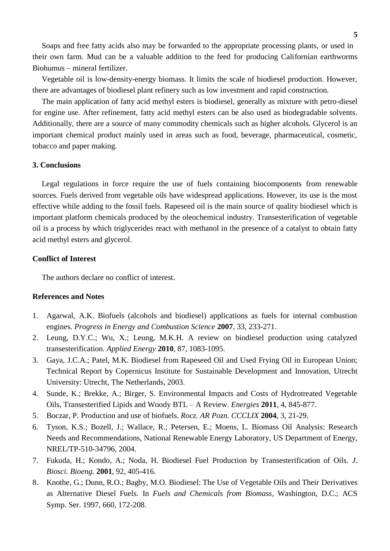Soaps and free fatty acids also may be forwarded to the appropriate processing plants, or used in their own farm. Mud can be a valuable addition to the feed for producing Californian earthworms Biohumus – mineral fertilizer.

Vegetable oil is low-density-energy biomass. It limits the scale of biodiesel production. However, there are advantages of biodiesel plant refinery such as low investment and rapid construction.

The main application of fatty acid methyl esters is biodiesel, generally as mixture with petro-diesel for engine use. After refinement, fatty acid methyl esters can be also used as biodegradable solvents. Additionally, there are a source of many commodity chemicals such as higher alcohols. Glycerol is an important chemical product mainly used in areas such as food, beverage, pharmaceutical, cosmetic, tobacco and paper making.

#### **3. Conclusions**

Legal regulations in force require the use of fuels containing biocomponents from renewable sources. Fuels derived from vegetable oils have widespread applications. However, its use is the most effective while adding to the fossil fuels. Rapeseed oil is the main source of quality biodiesel which is important platform chemicals produced by the oleochemical industry. Transesterification of vegetable oil is a process by which triglycerides react with methanol in the presence of a catalyst to obtain fatty acid methyl esters and glycerol.

#### **Conflict of Interest**

The authors declare no conflict of interest.

#### **References and Notes**

- 1. Agarwal, A.K. Biofuels (alcohols and biodiesel) applications as fuels for internal combustion engines. *Progress in Energy and Combustion Science* **2007**, 33, 233-271.
- 2. Leung, D.Y.C.; Wu, X.; Leung, M.K.H. A review on biodiesel production using catalyzed transesterification. *Applied Energy* **2010**, 87, 1083-1095.
- 3. Gaya, J.C.A.; Patel, M.K. Biodiesel from Rapeseed Oil and Used Frying Oil in European Union; Technical Report by Copernicus Institute for Sustainable Development and Innovation, Utrecht University: Utrecht, The Netherlands, 2003.
- 4. Sunde, K.; Brekke, A.; Birger, S. Environmental Impacts and Costs of Hydrotreated Vegetable Oils, Transesterified Lipids and Woody BTL – A Review. *Energies* **2011**, 4, 845-877.
- 5. Boczar, P. Production and use of biofuels. *Rocz. AR Pozn. CCCLIX* **2004**, 3, 21-29.
- 6. Tyson, K.S.; Bozell, J.; Wallace, R.; Petersen, E.; Moens, L. Biomass Oil Analysis: Research Needs and Recommendations, National Renewable Energy Laboratory, US Department of Energy, NREL/TP-510-34796, 2004.
- 7. Fukuda, H.; Kondo, A.; Noda, H. Biodiesel Fuel Production by Transesterification of Oils. *J. Biosci. Bioeng.* **2001**, 92, 405-416.
- 8. Knothe, G.; Dunn, R.O.; Bagby, M.O. Biodiesel: The Use of Vegetable Oils and Their Derivatives as Alternative Diesel Fuels. In *Fuels and Chemicals from Biomass*, Washington, D.C.; ACS Symp. Ser. 1997, 660, 172-208.